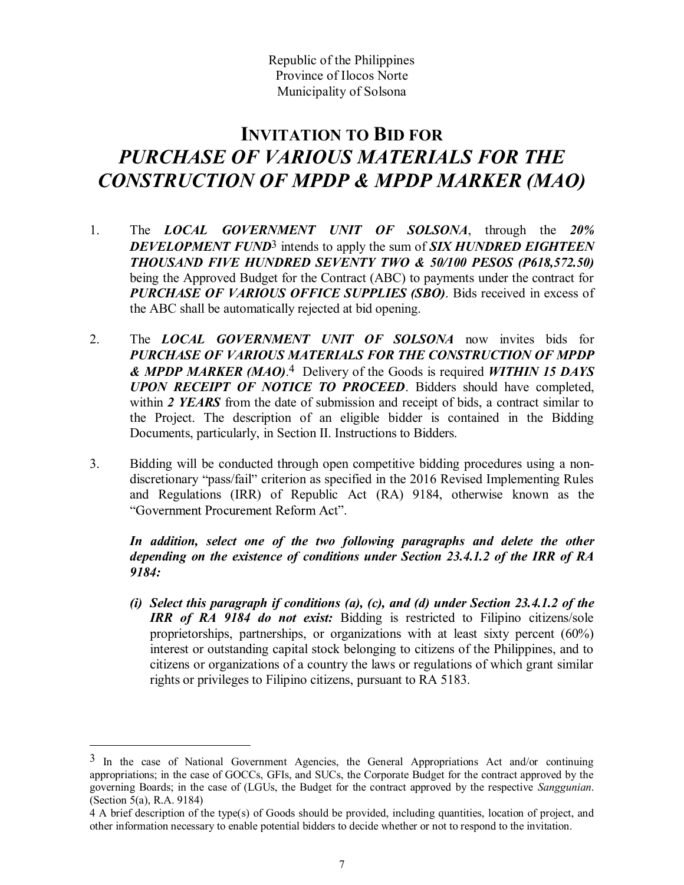Republic of the Philippines Province of Ilocos Norte Municipality of Solsona

## INVITATION TO BID FOR PURCHASE OF VARIOUS MATERIALS FOR THE CONSTRUCTION OF MPDP & MPDP MARKER (MAO)

- 1. The *LOCAL GOVERNMENT UNIT OF SOLSONA*, through the 20% DEVELOPMENT FUND<sup>3</sup> intends to apply the sum of **SIX HUNDRED EIGHTEEN** THOUSAND FIVE HUNDRED SEVENTY TWO & 50/100 PESOS (P618,572.50) being the Approved Budget for the Contract (ABC) to payments under the contract for PURCHASE OF VARIOUS OFFICE SUPPLIES (SBO). Bids received in excess of the ABC shall be automatically rejected at bid opening.
- 2. The LOCAL GOVERNMENT UNIT OF SOLSONA now invites bids for PURCHASE OF VARIOUS MATERIALS FOR THE CONSTRUCTION OF MPDP & MPDP MARKER (MAO).<sup>4</sup> Delivery of the Goods is required WITHIN 15 DAYS UPON RECEIPT OF NOTICE TO PROCEED. Bidders should have completed, within 2 YEARS from the date of submission and receipt of bids, a contract similar to the Project. The description of an eligible bidder is contained in the Bidding URCHASE OF VARIOUS MATERIALS FOR THE<br>
NSTRUCTION OF MPDP & MPDP MARKER (MAO)<br>
The LOCAL GOVERNMENT UNIT OF SOLSONA, through the 20%<br>
DEVELOPMENT FUND<sup>S</sup> intends to apply the sum of SIX HUNDRED EIGHTEEN<br>
DEVELOPMENT FUNDRE
- 3. Bidding will be conducted through open competitive bidding procedures using a nondiscretionary "pass/fail" criterion as specified in the 2016 Revised Implementing Rules and Regulations (IRR) of Republic Act (RA) 9184, otherwise known as the "Government Procurement Reform Act".

In addition, select one of the two following paragraphs and delete the other depending on the existence of conditions under Section 23.4.1.2 of the IRR of RA 9184:

(i) Select this paragraph if conditions (a), (c), and (d) under Section 23.4.1.2 of the IRR of RA 9184 do not exist: Bidding is restricted to Filipino citizens/sole proprietorships, partnerships, or organizations with at least sixty percent (60%) interest or outstanding capital stock belonging to citizens of the Philippines, and to citizens or organizations of a country the laws or regulations of which grant similar rights or privileges to Filipino citizens, pursuant to RA 5183.

 $3$  In the case of National Government Agencies, the General Appropriations Act and/or continuing appropriations; in the case of GOCCs, GFIs, and SUCs, the Corporate Budget for the contract approved by the governing Boards; in the case of (LGUs, the Budget for the contract approved by the respective *Sanggunian*. (Section 5(a), R.A. 9184)

<sup>4</sup> A brief description of the type(s) of Goods should be provided, including quantities, location of project, and other information necessary to enable potential bidders to decide whether or not to respond to the invitation.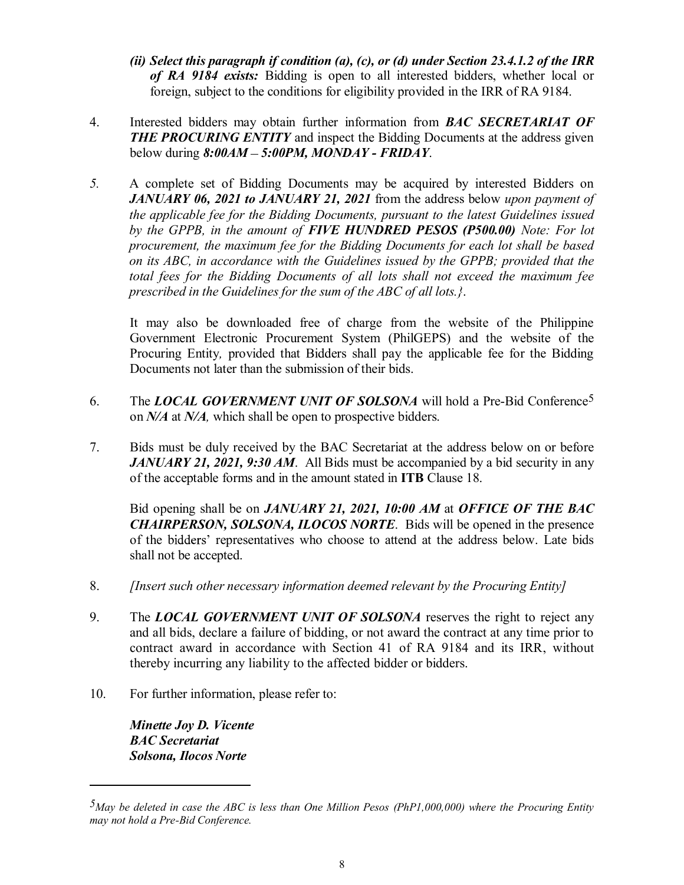- (ii) Select this paragraph if condition (a), (c), or (d) under Section 23.4.1.2 of the IRR<br>of RA 9184 exists: Bidding is open to all interested bidders, whether local or<br>foreign, subject to the conditions for eligibility of RA 9184 exists: Bidding is open to all interested bidders, whether local or foreign, subject to the conditions for eligibility provided in the IRR of RA 9184.
- 4. Interested bidders may obtain further information from BAC SECRETARIAT OF **THE PROCURING ENTITY** and inspect the Bidding Documents at the address given below during  $8:00AM - 5:00PM$ , MONDAY - FRIDAY.
- 5. A complete set of Bidding Documents may be acquired by interested Bidders on (ii) Select this paragraph if condition (a), (c), or (d) under Section 23.4.1.2 of the IRR of RA 9184 exists: Bidding is open to all interested bidders, whether local or foreign, subject to the conditions for eligibility the applicable fee for the Bidding Documents, pursuant to the latest Guidelines issued by the GPPB, in the amount of FIVE HUNDRED PESOS (P500.00) Note: For lot procurement, the maximum fee for the Bidding Documents for each lot shall be based on its ABC, in accordance with the Guidelines issued by the GPPB; provided that the total fees for the Bidding Documents of all lots shall not exceed the maximum fee prescribed in the Guidelines for the sum of the ABC of all lots.}. by the GPPB, in the amount of **FIVE HUNDRED PESOS** (P500.00) Note: For lot the procurement, the maximum fee for the Bidding Documents for each lot shall be based on its ABC, in accordance with the Guidelines issued by the

It may also be downloaded free of charge from the website of the Philippine Government Electronic Procurement System (PhilGEPS) and the website of the Procuring Entity, provided that Bidders shall pay the applicable fee for the Bidding Documents not later than the submission of their bids.

- 6. The *LOCAL GOVERNMENT UNIT OF SOLSONA* will hold a Pre-Bid Conference<sup>5</sup> on *N/A* at *N/A*, which shall be open to prospective bidders.
- 7. Bids must be duly received by the BAC Secretariat at the address below on or before **JANUARY 21, 2021, 9:30 AM.** All Bids must be accompanied by a bid security in any of the acceptable forms and in the amount stated in ITB Clause 18.

CHAIRPERSON, SOLSONA, ILOCOS NORTE. Bids will be opened in the presence of the bidders' representatives who choose to attend at the address below. Late bids shall not be accepted.

- 8. [Insert such other necessary information deemed relevant by the Procuring Entity]
- 9. The LOCAL GOVERNMENT UNIT OF SOLSONA reserves the right to reject any and all bids, declare a failure of bidding, or not award the contract at any time prior to contract award in accordance with Section 41 of RA 9184 and its IRR, without thereby incurring any liability to the affected bidder or bidders.
- 10. For further information, please refer to:

Minette Joy D. Vicente BAC Secretariat Solsona, Ilocos Norte

 $\overline{a}$ 

 $5$ May be deleted in case the ABC is less than One Million Pesos (PhP1,000,000) where the Procuring Entity may not hold a Pre-Bid Conference.